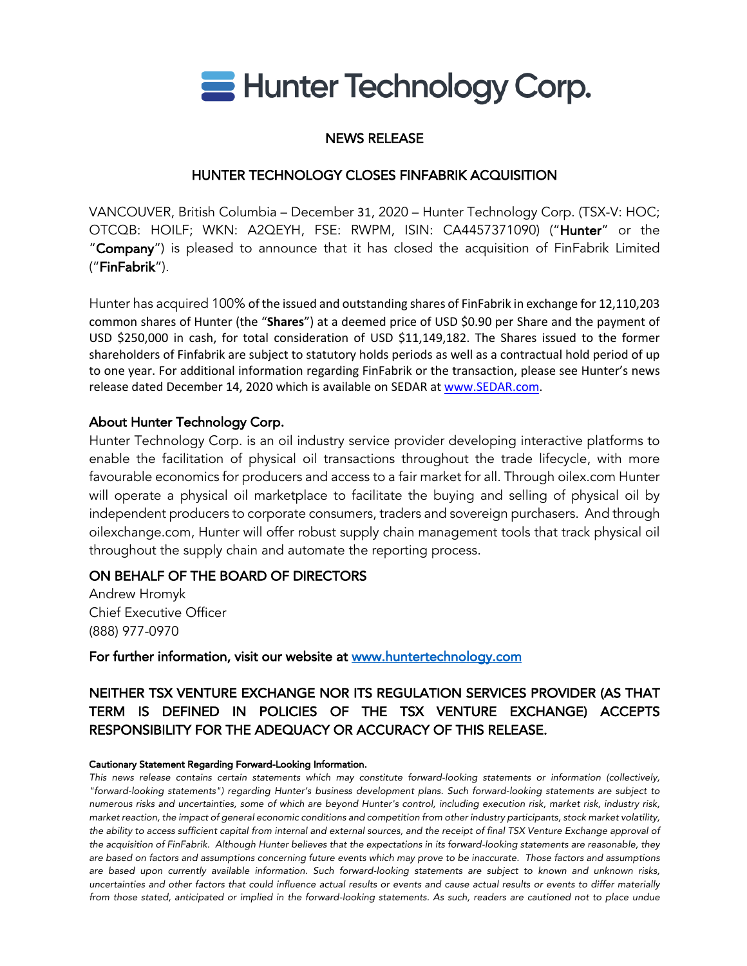

# NEWS RELEASE

## HUNTER TECHNOLOGY CLOSES FINFABRIK ACQUISITION

VANCOUVER, British Columbia – December 31, 2020 – Hunter Technology Corp. (TSX-V: HOC; OTCQB: HOILF; WKN: A2QEYH, FSE: RWPM, ISIN: CA4457371090) ("Hunter" or the "Company") is pleased to announce that it has closed the acquisition of FinFabrik Limited ("FinFabrik").

Hunter has acquired 100% of the issued and outstanding shares of FinFabrik in exchange for 12,110,203 common shares of Hunter (the "**Shares**") at a deemed price of USD \$0.90 per Share and the payment of USD \$250,000 in cash, for total consideration of USD \$11,149,182. The Shares issued to the former shareholders of Finfabrik are subject to statutory holds periods as well as a contractual hold period of up to one year. For additional information regarding FinFabrik or the transaction, please see Hunter's news release dated December 14, 2020 which is available on SEDAR at www.SEDAR.com.

### About Hunter Technology Corp.

Hunter Technology Corp. is an oil industry service provider developing interactive platforms to enable the facilitation of physical oil transactions throughout the trade lifecycle, with more favourable economics for producers and access to a fair market for all. Through oilex.com Hunter will operate a physical oil marketplace to facilitate the buying and selling of physical oil by independent producers to corporate consumers, traders and sovereign purchasers. And through oilexchange.com, Hunter will offer robust supply chain management tools that track physical oil throughout the supply chain and automate the reporting process.

### ON BEHALF OF THE BOARD OF DIRECTORS

Andrew Hromyk Chief Executive Officer (888) 977-0970

For further information, visit our website at www.huntertechnology.com

# NEITHER TSX VENTURE EXCHANGE NOR ITS REGULATION SERVICES PROVIDER (AS THAT TERM IS DEFINED IN POLICIES OF THE TSX VENTURE EXCHANGE) ACCEPTS RESPONSIBILITY FOR THE ADEQUACY OR ACCURACY OF THIS RELEASE.

#### Cautionary Statement Regarding Forward-Looking Information.

*This news release contains certain statements which may constitute forward-looking statements or information (collectively, "forward-looking statements") regarding Hunter's business development plans. Such forward-looking statements are subject to numerous risks and uncertainties, some of which are beyond Hunter's control, including execution risk, market risk, industry risk, market reaction, the impact of general economic conditions and competition from other industry participants, stock market volatility, the ability to access sufficient capital from internal and external sources, and the receipt of final TSX Venture Exchange approval of the acquisition of FinFabrik. Although Hunter believes that the expectations in its forward-looking statements are reasonable, they are based on factors and assumptions concerning future events which may prove to be inaccurate. Those factors and assumptions are based upon currently available information. Such forward-looking statements are subject to known and unknown risks, uncertainties and other factors that could influence actual results or events and cause actual results or events to differ materially*  from those stated, anticipated or implied in the forward-looking statements. As such, readers are cautioned not to place undue